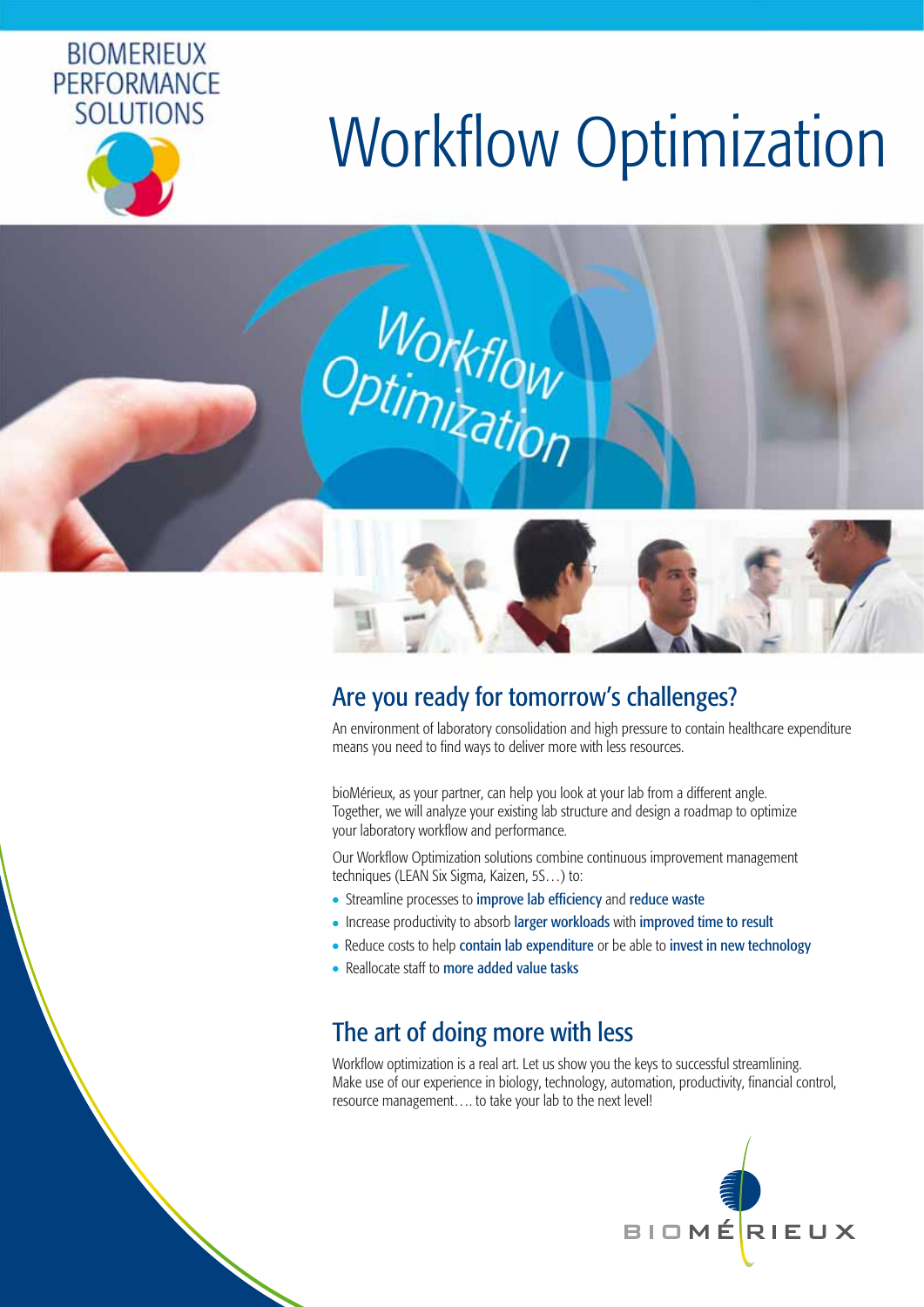

# **Workflow Optimization**



# Are you ready for tomorrow's challenges?

An environment of laboratory consolidation and high pressure to contain healthcare expenditure means you need to find ways to deliver more with less resources.

bioMérieux, as your partner, can help you look at your lab from a different angle. Together, we will analyze your existing lab structure and design a roadmap to optimize your laboratory workflow and performance.

Our Workflow Optimization solutions combine continuous improvement management techniques (LEAN Six Sigma, Kaizen, 5S…) to:

- Streamline processes to improve lab efficiency and reduce waste
- Increase productivity to absorb larger workloads with improved time to result
- Reduce costs to help contain lab expenditure or be able to invest in new technology
- Reallocate staff to more added value tasks

# The art of doing more with less

Workflow optimization is a real art. Let us show you the keys to successful streamlining. Make use of our experience in biology, technology, automation, productivity, financial control, resource management…. to take your lab to the next level!